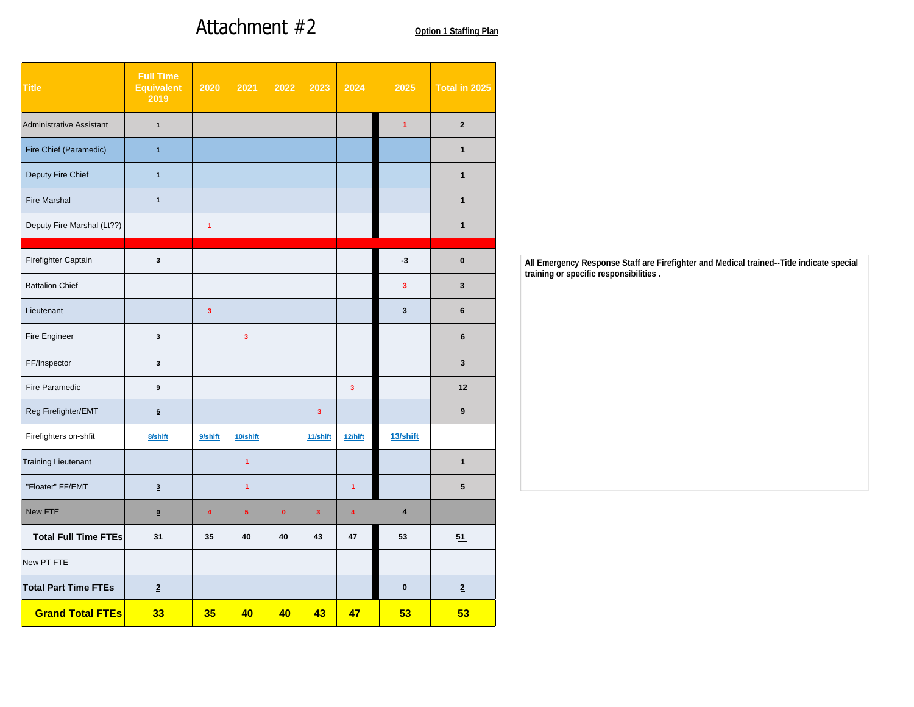## Attachment #2

| Attachment #2<br><b>Option 1 Staffing Plan</b><br>Full Time<br>Equivalent 2020 2021 2022 2023 2024 2025 Total in 2025<br>$\frac{1}{2019}$<br>$\overline{\mathbf{2}}$<br>$\overline{1}$<br>$\overline{1}$<br>$\vert 1 \vert$<br>$\overline{1}$<br>$\overline{1}$<br>$\blacksquare$ 1<br>$\blacksquare$ 1<br>$\overline{1}$<br>$\mathbf{1}$<br>$\overline{1}$<br><u> 1999 - Jacques Maria de Santa de Santa de Santa de Santa de Santa de Santa de Santa de Santa de Santa de San</u><br>$\overline{\mathbf{3}}$<br>$-3$<br>$\bullet$<br>$\overline{\mathbf{3}}$<br>$\overline{\mathbf{3}}$<br>$\overline{\mathbf{3}}$<br>$\overline{\mathbf{3}}$<br>$6\overline{6}$<br>$\overline{\mathbf{3}}$<br>$\overline{\mathbf{3}}$<br>$6\overline{6}$<br>$\overline{\mathbf{3}}$<br>3 <sup>1</sup><br>$\overline{\mathbf{3}}$<br>12<br>$\overline{\phantom{a}}$<br>$\overline{\mathbf{3}}$<br>9<br>$6\overline{6}$<br>9/shift<br>11/shift 12/hift<br>13/shift<br>10/shift<br>8/shift<br>$-1$<br>$\overline{1}$<br>$\overline{\mathbf{3}}$<br>$-1$<br>5 <sub>5</sub><br>$\bullet$<br>$-3$<br>$\overline{4}$<br>$-5$<br>$-4$<br>$\overline{4}$<br>$\overline{\mathbf{0}}$<br>40<br>43<br>35<br>47<br>31<br>40<br>53<br>51<br>$\overline{2}$<br>$\bullet$<br>$\frac{2}{2}$<br>  35   40   40   43   47    53   <br>33 |  |  |  |  |  |                     |
|----------------------------------------------------------------------------------------------------------------------------------------------------------------------------------------------------------------------------------------------------------------------------------------------------------------------------------------------------------------------------------------------------------------------------------------------------------------------------------------------------------------------------------------------------------------------------------------------------------------------------------------------------------------------------------------------------------------------------------------------------------------------------------------------------------------------------------------------------------------------------------------------------------------------------------------------------------------------------------------------------------------------------------------------------------------------------------------------------------------------------------------------------------------------------------------------------------------------------------------------------------------------------------------------------------|--|--|--|--|--|---------------------|
|                                                                                                                                                                                                                                                                                                                                                                                                                                                                                                                                                                                                                                                                                                                                                                                                                                                                                                                                                                                                                                                                                                                                                                                                                                                                                                          |  |  |  |  |  |                     |
|                                                                                                                                                                                                                                                                                                                                                                                                                                                                                                                                                                                                                                                                                                                                                                                                                                                                                                                                                                                                                                                                                                                                                                                                                                                                                                          |  |  |  |  |  |                     |
|                                                                                                                                                                                                                                                                                                                                                                                                                                                                                                                                                                                                                                                                                                                                                                                                                                                                                                                                                                                                                                                                                                                                                                                                                                                                                                          |  |  |  |  |  |                     |
|                                                                                                                                                                                                                                                                                                                                                                                                                                                                                                                                                                                                                                                                                                                                                                                                                                                                                                                                                                                                                                                                                                                                                                                                                                                                                                          |  |  |  |  |  |                     |
|                                                                                                                                                                                                                                                                                                                                                                                                                                                                                                                                                                                                                                                                                                                                                                                                                                                                                                                                                                                                                                                                                                                                                                                                                                                                                                          |  |  |  |  |  |                     |
|                                                                                                                                                                                                                                                                                                                                                                                                                                                                                                                                                                                                                                                                                                                                                                                                                                                                                                                                                                                                                                                                                                                                                                                                                                                                                                          |  |  |  |  |  |                     |
|                                                                                                                                                                                                                                                                                                                                                                                                                                                                                                                                                                                                                                                                                                                                                                                                                                                                                                                                                                                                                                                                                                                                                                                                                                                                                                          |  |  |  |  |  |                     |
|                                                                                                                                                                                                                                                                                                                                                                                                                                                                                                                                                                                                                                                                                                                                                                                                                                                                                                                                                                                                                                                                                                                                                                                                                                                                                                          |  |  |  |  |  |                     |
|                                                                                                                                                                                                                                                                                                                                                                                                                                                                                                                                                                                                                                                                                                                                                                                                                                                                                                                                                                                                                                                                                                                                                                                                                                                                                                          |  |  |  |  |  |                     |
|                                                                                                                                                                                                                                                                                                                                                                                                                                                                                                                                                                                                                                                                                                                                                                                                                                                                                                                                                                                                                                                                                                                                                                                                                                                                                                          |  |  |  |  |  |                     |
|                                                                                                                                                                                                                                                                                                                                                                                                                                                                                                                                                                                                                                                                                                                                                                                                                                                                                                                                                                                                                                                                                                                                                                                                                                                                                                          |  |  |  |  |  |                     |
| <b>Title</b><br>Administrative Assistant<br>Fire Chief (Paramedic)<br>Deputy Fire Chief<br>Fire Marshal<br>Deputy Fire Marshal (Lt??)<br>Firefighter Captain<br><b>Battalion Chief</b><br>Lieutenant<br>Fire Engineer<br>FF/Inspector<br>Fire Paramedic<br>Reg Firefighter/EMT<br>Firefighters on-shfit<br><b>Training Lieutenant</b><br>"Floater" FF/EMT<br>New FTE<br><b>Total Full Time FTEs</b><br>New PT FTE<br><b>Total Part Time FTEs</b><br><b>Grand Total FTEs</b>                                                                                                                                                                                                                                                                                                                                                                                                                                                                                                                                                                                                                                                                                                                                                                                                                              |  |  |  |  |  |                     |
|                                                                                                                                                                                                                                                                                                                                                                                                                                                                                                                                                                                                                                                                                                                                                                                                                                                                                                                                                                                                                                                                                                                                                                                                                                                                                                          |  |  |  |  |  |                     |
|                                                                                                                                                                                                                                                                                                                                                                                                                                                                                                                                                                                                                                                                                                                                                                                                                                                                                                                                                                                                                                                                                                                                                                                                                                                                                                          |  |  |  |  |  |                     |
|                                                                                                                                                                                                                                                                                                                                                                                                                                                                                                                                                                                                                                                                                                                                                                                                                                                                                                                                                                                                                                                                                                                                                                                                                                                                                                          |  |  |  |  |  |                     |
|                                                                                                                                                                                                                                                                                                                                                                                                                                                                                                                                                                                                                                                                                                                                                                                                                                                                                                                                                                                                                                                                                                                                                                                                                                                                                                          |  |  |  |  |  |                     |
|                                                                                                                                                                                                                                                                                                                                                                                                                                                                                                                                                                                                                                                                                                                                                                                                                                                                                                                                                                                                                                                                                                                                                                                                                                                                                                          |  |  |  |  |  |                     |
|                                                                                                                                                                                                                                                                                                                                                                                                                                                                                                                                                                                                                                                                                                                                                                                                                                                                                                                                                                                                                                                                                                                                                                                                                                                                                                          |  |  |  |  |  |                     |
|                                                                                                                                                                                                                                                                                                                                                                                                                                                                                                                                                                                                                                                                                                                                                                                                                                                                                                                                                                                                                                                                                                                                                                                                                                                                                                          |  |  |  |  |  |                     |
|                                                                                                                                                                                                                                                                                                                                                                                                                                                                                                                                                                                                                                                                                                                                                                                                                                                                                                                                                                                                                                                                                                                                                                                                                                                                                                          |  |  |  |  |  |                     |
|                                                                                                                                                                                                                                                                                                                                                                                                                                                                                                                                                                                                                                                                                                                                                                                                                                                                                                                                                                                                                                                                                                                                                                                                                                                                                                          |  |  |  |  |  |                     |
|                                                                                                                                                                                                                                                                                                                                                                                                                                                                                                                                                                                                                                                                                                                                                                                                                                                                                                                                                                                                                                                                                                                                                                                                                                                                                                          |  |  |  |  |  |                     |
|                                                                                                                                                                                                                                                                                                                                                                                                                                                                                                                                                                                                                                                                                                                                                                                                                                                                                                                                                                                                                                                                                                                                                                                                                                                                                                          |  |  |  |  |  |                     |
|                                                                                                                                                                                                                                                                                                                                                                                                                                                                                                                                                                                                                                                                                                                                                                                                                                                                                                                                                                                                                                                                                                                                                                                                                                                                                                          |  |  |  |  |  |                     |
|                                                                                                                                                                                                                                                                                                                                                                                                                                                                                                                                                                                                                                                                                                                                                                                                                                                                                                                                                                                                                                                                                                                                                                                                                                                                                                          |  |  |  |  |  |                     |
|                                                                                                                                                                                                                                                                                                                                                                                                                                                                                                                                                                                                                                                                                                                                                                                                                                                                                                                                                                                                                                                                                                                                                                                                                                                                                                          |  |  |  |  |  |                     |
|                                                                                                                                                                                                                                                                                                                                                                                                                                                                                                                                                                                                                                                                                                                                                                                                                                                                                                                                                                                                                                                                                                                                                                                                                                                                                                          |  |  |  |  |  | <mark>53</mark> (19 |
|                                                                                                                                                                                                                                                                                                                                                                                                                                                                                                                                                                                                                                                                                                                                                                                                                                                                                                                                                                                                                                                                                                                                                                                                                                                                                                          |  |  |  |  |  |                     |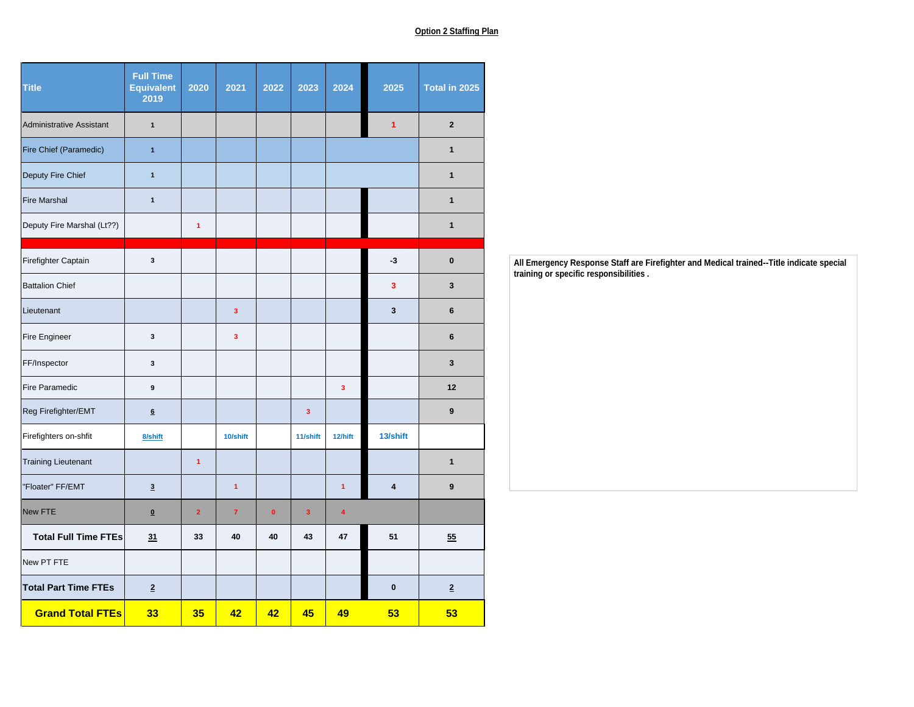## **Option 2 Staffing Plan**

| Title                       | <b>Full Time</b><br>Equivalent<br>2019 | 2020           | 2021                        | 2022 2023<br>2024                                                                    | 2025                 | Total in 2025           |
|-----------------------------|----------------------------------------|----------------|-----------------------------|--------------------------------------------------------------------------------------|----------------------|-------------------------|
| Administrative Assistant    | $\overline{1}$                         |                |                             |                                                                                      | $\blacktriangleleft$ | $\overline{2}$          |
| Fire Chief (Paramedic)      | $-1$                                   |                |                             |                                                                                      |                      | $\overline{1}$          |
| Deputy Fire Chief           | $-1$                                   |                |                             |                                                                                      |                      | $\overline{1}$          |
| Fire Marshal                | $\blacksquare$                         |                |                             |                                                                                      |                      | $\mathbf{1}$            |
| Deputy Fire Marshal (Lt??)  |                                        | $-1$           |                             |                                                                                      |                      | $\overline{1}$          |
| Firefighter Captain         | $\overline{\mathbf{3}}$                |                |                             |                                                                                      | $-3$                 | $\bullet$               |
| <b>Battalion Chief</b>      |                                        |                |                             |                                                                                      | $\mathbf{3}$         | 3 <sup>1</sup>          |
| Lieutenant                  |                                        |                | 3 <sup>1</sup>              |                                                                                      | $\mathbf{3}$         | 6                       |
| Fire Engineer               | $\overline{\mathbf{3}}$                |                | $\overline{\mathbf{3}}$     |                                                                                      |                      | 6                       |
| FF/Inspector                | $\overline{\mathbf{3}}$                |                |                             |                                                                                      |                      | $\overline{\mathbf{3}}$ |
| Fire Paramedic              | 9                                      |                |                             | 3 <sup>2</sup>                                                                       |                      | 12                      |
| Reg Firefighter/EMT         | $6\overline{6}$                        |                |                             | 3 <sup>2</sup>                                                                       |                      | 9                       |
| Firefighters on-shfit       | 8/shift                                |                | 10/shift                    | 11/shift<br>$12/h$ ift                                                               | 13/shift             |                         |
| <b>Training Lieutenant</b>  |                                        | $-1$           |                             |                                                                                      |                      | $\mathbf{1}$            |
| "Floater" FF/EMT            | $\frac{3}{2}$                          |                | $-1$                        | $\blacktriangleleft$                                                                 | $\overline{4}$       | - 9                     |
| New FTE                     | $\mathbf{0}$                           | $\overline{2}$ | $\bullet$<br>$\overline{7}$ | 3 <sup>2</sup><br>$\overline{4}$                                                     |                      |                         |
| Total Full Time FTEs        | $\frac{31}{2}$                         | 33             | 40<br>40                    | 43<br>47                                                                             | 51                   | $\overline{55}$         |
| New PT FTE                  |                                        |                |                             |                                                                                      |                      |                         |
| <b>Total Part Time FTEs</b> | $\overline{2}$                         |                |                             |                                                                                      | $\bullet$            | $\overline{2}$          |
| <b>Grand Total FTEs</b>     | 33                                     | 35             | $\overline{42}$             | $\begin{array}{ c c c } \hline \textbf{42} & \textbf{45} \ \hline \end{array}$<br>49 | 53                   | $-53$                   |